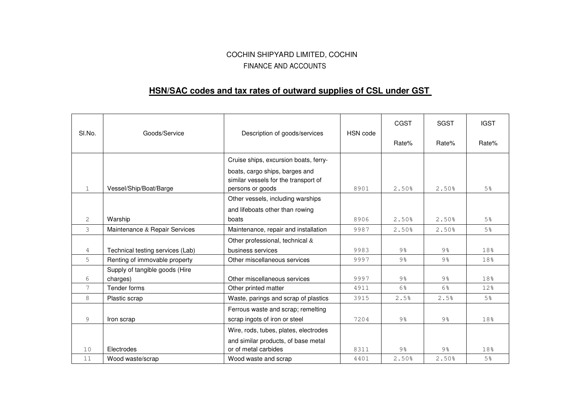## COCHIN SHIPYARD LIMITED, COCHIN FINANCE AND ACCOUNTS

## **HSN/SAC codes and tax rates of outward supplies of CSL under GST**

| SI.No.         | Goods/Service                              | Description of goods/services                                                              | HSN code | <b>CGST</b>    | <b>SGST</b>    | <b>IGST</b>    |
|----------------|--------------------------------------------|--------------------------------------------------------------------------------------------|----------|----------------|----------------|----------------|
|                |                                            |                                                                                            |          | Rate%          | Rate%          | Rate%          |
|                |                                            | Cruise ships, excursion boats, ferry-                                                      |          |                |                |                |
| $\mathbf{1}$   | Vessel/Ship/Boat/Barge                     | boats, cargo ships, barges and<br>similar vessels for the transport of<br>persons or goods | 8901     | 2.50%          | 2.50%          | 5%             |
|                |                                            | Other vessels, including warships                                                          |          |                |                |                |
|                |                                            | and lifeboats other than rowing                                                            |          |                |                |                |
| $\overline{2}$ | Warship                                    | boats                                                                                      | 8906     | 2.50%          | 2.50%          | 5 <sup>°</sup> |
| 3              | Maintenance & Repair Services              | Maintenance, repair and installation                                                       | 9987     | 2.50%          | 2.50%          | 5 <sup>°</sup> |
|                |                                            | Other professional, technical &                                                            |          |                |                |                |
| 4              | Technical testing services (Lab)           | business services                                                                          | 9983     | 9 <sub>8</sub> | 9 <sub>8</sub> | 18%            |
| 5              | Renting of immovable property              | Other miscellaneous services                                                               | 9997     | $9\frac{6}{6}$ | 9%             | 18%            |
| 6              | Supply of tangible goods (Hire<br>charges) | Other miscellaneous services                                                               | 9997     | 9 <sub>8</sub> | 9 <sub>8</sub> | 18%            |
| 7              | Tender forms                               | Other printed matter                                                                       | 4911     | 6%             | 6%             | 12%            |
| 8              | Plastic scrap                              | Waste, parings and scrap of plastics                                                       | 3915     | 2.5%           | 2.5%           | 5 <sup>°</sup> |
|                |                                            | Ferrous waste and scrap; remelting                                                         |          |                |                |                |
| 9              | Iron scrap                                 | scrap ingots of iron or steel                                                              | 7204     | 9 <sub>8</sub> | 9%             | 18%            |
|                |                                            | Wire, rods, tubes, plates, electrodes                                                      |          |                |                |                |
|                |                                            | and similar products, of base metal                                                        |          |                |                |                |
| 10             | Electrodes                                 | or of metal carbides                                                                       | 8311     | 9 <sub>8</sub> | 9%             | 18%            |
| 11             | Wood waste/scrap                           | Wood waste and scrap                                                                       | 4401     | 2.50%          | 2.50%          | 5 <sup>°</sup> |